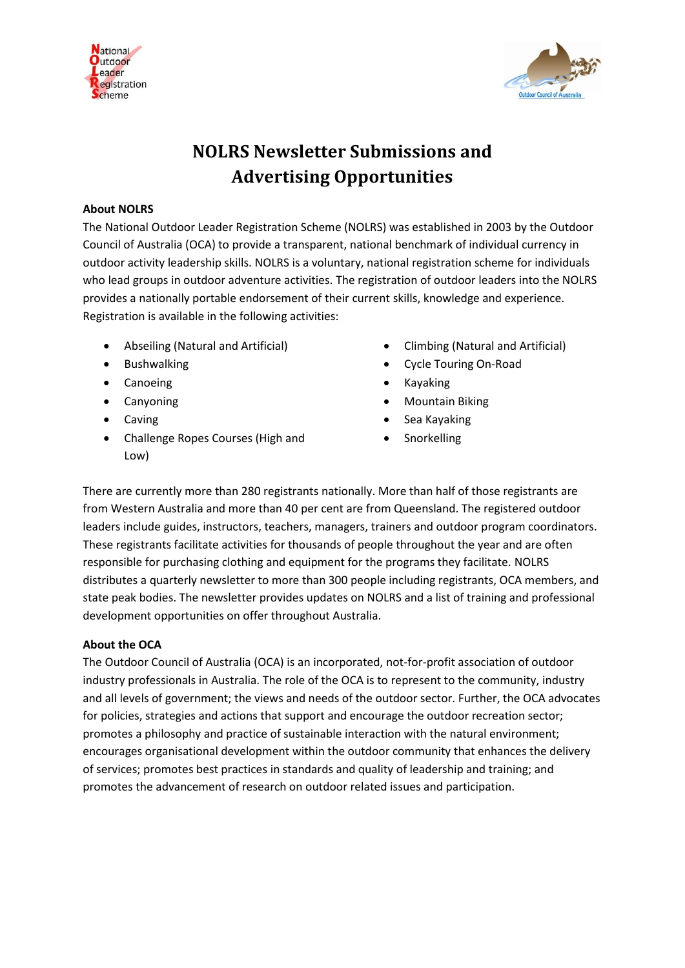



# **NOLRS Newsletter Submissions and Advertising Opportunities**

### **About NOLRS**

The National Outdoor Leader Registration Scheme (NOLRS) was established in 2003 by the Outdoor Council of Australia (OCA) to provide a transparent, national benchmark of individual currency in outdoor activity leadership skills. NOLRS is a voluntary, national registration scheme for individuals who lead groups in outdoor adventure activities. The registration of outdoor leaders into the NOLRS provides a nationally portable endorsement of their current skills, knowledge and experience. Registration is available in the following activities:

- Abseiling (Natural and Artificial)
- **•** Bushwalking
- Canoeing
- Canyoning
- Caving
- Challenge Ropes Courses (High and Low)
- Climbing (Natural and Artificial)
- Cycle Touring On-Road
- Kayaking
- Mountain Biking
- Sea Kayaking
- Snorkelling

There are currently more than 280 registrants nationally. More than half of those registrants are from Western Australia and more than 40 per cent are from Queensland. The registered outdoor leaders include guides, instructors, teachers, managers, trainers and outdoor program coordinators. These registrants facilitate activities for thousands of people throughout the year and are often responsible for purchasing clothing and equipment for the programs they facilitate. NOLRS distributes a quarterly newsletter to more than 300 people including registrants, OCA members, and state peak bodies. The newsletter provides updates on NOLRS and a list of training and professional development opportunities on offer throughout Australia.

### **About the OCA**

The Outdoor Council of Australia (OCA) is an incorporated, not-for-profit association of outdoor industry professionals in Australia. The role of the OCA is to represent to the community, industry and all levels of government; the views and needs of the outdoor sector. Further, the OCA advocates for policies, strategies and actions that support and encourage the outdoor recreation sector; promotes a philosophy and practice of sustainable interaction with the natural environment; encourages organisational development within the outdoor community that enhances the delivery of services; promotes best practices in standards and quality of leadership and training; and promotes the advancement of research on outdoor related issues and participation.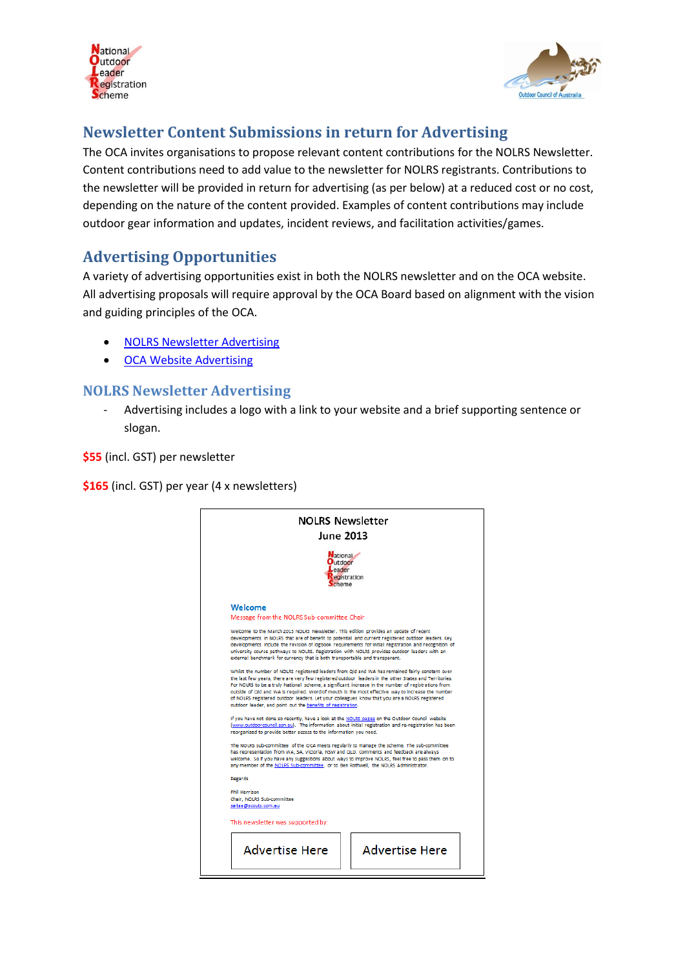



## **Newsletter Content Submissions in return for Advertising**

The OCA invites organisations to propose relevant content contributions for the NOLRS Newsletter. Content contributions need to add value to the newsletter for NOLRS registrants. Contributions to the newsletter will be provided in return for advertising (as per below) at a reduced cost or no cost, depending on the nature of the content provided. Examples of content contributions may include outdoor gear information and updates, incident reviews, and facilitation activities/games.

## **Advertising Opportunities**

A variety of advertising opportunities exist in both the NOLRS newsletter and on the OCA website. All advertising proposals will require approval by the OCA Board based on alignment with the vision and guiding principles of the OCA.

- [NOLRS Newsletter Advertising](#page-1-0)
- [OCA Website Advertising](#page-2-0)

## <span id="page-1-0"></span>**NOLRS Newsletter Advertising**

- Advertising includes a logo with a link to your website and a brief supporting sentence or slogan.

**\$55** (incl. GST) per newsletter

**\$165** (incl. GST) per year (4 x newsletters)

| <b>NOLRS Newsletter</b><br><b>June 2013</b><br><b>National</b><br>utdoor<br>Leader<br>egistration<br>cheme                                                                                                                                                                                                                                                                                                                                                                                                                                                                            |  |                       |                                                                                                                                                                                                                                                                                                                                                                                                                                                                                      |  |  |
|---------------------------------------------------------------------------------------------------------------------------------------------------------------------------------------------------------------------------------------------------------------------------------------------------------------------------------------------------------------------------------------------------------------------------------------------------------------------------------------------------------------------------------------------------------------------------------------|--|-----------------------|--------------------------------------------------------------------------------------------------------------------------------------------------------------------------------------------------------------------------------------------------------------------------------------------------------------------------------------------------------------------------------------------------------------------------------------------------------------------------------------|--|--|
|                                                                                                                                                                                                                                                                                                                                                                                                                                                                                                                                                                                       |  |                       | Welcome<br>Message from the NOLRS Sub-committee Chair                                                                                                                                                                                                                                                                                                                                                                                                                                |  |  |
|                                                                                                                                                                                                                                                                                                                                                                                                                                                                                                                                                                                       |  |                       | Welcome to the March 2013 NOLRS Newsletter. This edition provides an update of recent<br>developments in NOLRS that are of benefit to potential and current registered outdoor leaders. Key<br>developments include the revision of logbook requirements for initial registration and recognition of<br>university course pathways to NOLRS. Registration with NOLRS provides outdoor leaders with an<br>external benchmark for currency that is both transportable and transparent. |  |  |
| Whilst the number of NOLRS registered leaders from Qld and WA has remained fairly constant over<br>the last few years, there are very few registered outdoor leaders in the other States and Territories.<br>For NOLRS to be a truly National scheme, a significant increase in the number of registrations from<br>outside of Old and WA is required. Word of mouth is the most effective way to increase the number<br>of NOLRS registered outdoor leaders. Let your colleagues know that you are a NOLRS registered<br>outdoor leader, and point out the benefits of registration. |  |                       |                                                                                                                                                                                                                                                                                                                                                                                                                                                                                      |  |  |
| If you have not done so recently, have a look at the NOLRS pages on the Outdoor Council website<br>(www.outdoorcouncil.asn.au). The information about initial registration and re-registration has been<br>reorganised to provide better access to the information you need.                                                                                                                                                                                                                                                                                                          |  |                       |                                                                                                                                                                                                                                                                                                                                                                                                                                                                                      |  |  |
| The NOLRS sub-committee of the OCA meets regularly to manage the scheme. The sub-committee<br>has representation from WA, SA, Victoria, NSW and QLD. Comments and feedback are always<br>welcome. So if you have any suggestions about ways to improve NOLRS, feel free to pass them on to<br>any member of the NOLRS Sub-committee, or to Ben Rothwell, the NOLRS Administrator.                                                                                                                                                                                                     |  |                       |                                                                                                                                                                                                                                                                                                                                                                                                                                                                                      |  |  |
| Regards                                                                                                                                                                                                                                                                                                                                                                                                                                                                                                                                                                               |  |                       |                                                                                                                                                                                                                                                                                                                                                                                                                                                                                      |  |  |
| Phil Harrison<br>Chair, NOLRS Sub-committee<br>saitaa@scouts.com.au                                                                                                                                                                                                                                                                                                                                                                                                                                                                                                                   |  |                       |                                                                                                                                                                                                                                                                                                                                                                                                                                                                                      |  |  |
| This newsletter was supported by:                                                                                                                                                                                                                                                                                                                                                                                                                                                                                                                                                     |  |                       |                                                                                                                                                                                                                                                                                                                                                                                                                                                                                      |  |  |
| <b>Advertise Here</b>                                                                                                                                                                                                                                                                                                                                                                                                                                                                                                                                                                 |  | <b>Advertise Here</b> |                                                                                                                                                                                                                                                                                                                                                                                                                                                                                      |  |  |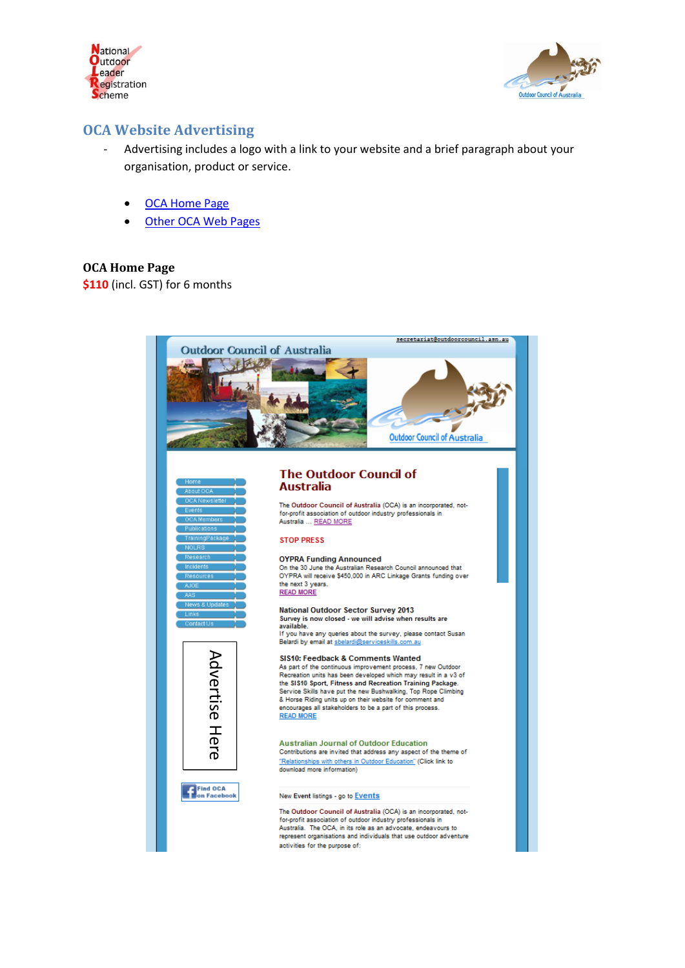



## <span id="page-2-0"></span>**OCA Website Advertising**

- Advertising includes a logo with a link to your website and a brief paragraph about your organisation, product or service.
	- [OCA Home Page](#page-2-1)
	- [Other OCA Web Pages](#page-3-0)

#### <span id="page-2-1"></span>**OCA Home Page**

**\$110** (incl. GST) for 6 months